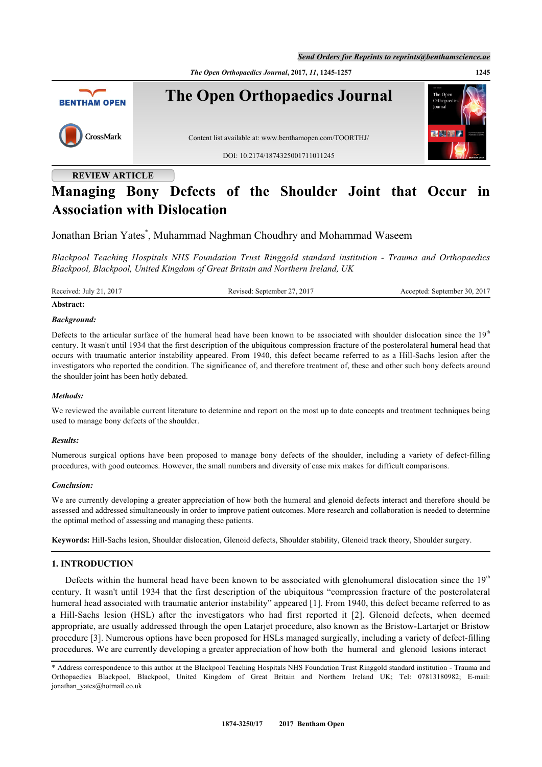*Send Orders for Reprints to reprints@benthamscience.ae*

*The Open Orthopaedics Journal***, 2017,** *11***, 1245-1257 1245**



# **REVIEW ARTICLE**

# **Managing Bony Defects of the Shoulder Joint that Occur in Association with Dislocation**

Jonathan Brian Yates[\\*](#page-0-0) , Muhammad Naghman Choudhry and Mohammad Waseem

*Blackpool Teaching Hospitals NHS Foundation Trust Ringgold standard institution - Trauma and Orthopaedics Blackpool, Blackpool, United Kingdom of Great Britain and Northern Ireland, UK*

Received: July 21, 2017 Revised: September 27, 2017 Accepted: September 30, 2017

## **Abstract:**

#### *Background:*

Defects to the articular surface of the humeral head have been known to be associated with shoulder dislocation since the  $19<sup>th</sup>$ century. It wasn't until 1934 that the first description of the ubiquitous compression fracture of the posterolateral humeral head that occurs with traumatic anterior instability appeared. From 1940, this defect became referred to as a Hill-Sachs lesion after the investigators who reported the condition. The significance of, and therefore treatment of, these and other such bony defects around the shoulder joint has been hotly debated.

#### *Methods:*

We reviewed the available current literature to determine and report on the most up to date concepts and treatment techniques being used to manage bony defects of the shoulder.

#### *Results:*

Numerous surgical options have been proposed to manage bony defects of the shoulder, including a variety of defect-filling procedures, with good outcomes. However, the small numbers and diversity of case mix makes for difficult comparisons.

#### *Conclusion:*

We are currently developing a greater appreciation of how both the humeral and glenoid defects interact and therefore should be assessed and addressed simultaneously in order to improve patient outcomes. More research and collaboration is needed to determine the optimal method of assessing and managing these patients.

**Keywords:** Hill-Sachs lesion, Shoulder dislocation, Glenoid defects, Shoulder stability, Glenoid track theory, Shoulder surgery.

#### **1. INTRODUCTION**

Defects within the humeral head have been known to be associated with glenohumeral dislocation since the  $19<sup>th</sup>$ century. It wasn't until 1934 that the first description of the ubiquitous "compression fracture of the posterolateral humeral head associated with traumatic anterior instability" appeared [[1\]](#page-8-0). From 1940, this defect became referred to as a Hill-Sachs lesion (HSL) after the investigators who had first reported it[[2\]](#page-8-1). Glenoid defects, when deemed appropriate, are usually addressed through the open Latarjet procedure, also known as the Bristow-Lartarjet or Bristow procedure [[3\]](#page-8-2). Numerous options have been proposed for HSLs managed surgically, including a variety of defect-filling procedures. We are currently developing a greater appreciation of how both the humeral and glenoid lesions interact

<span id="page-0-0"></span><sup>\*</sup> Address correspondence to this author at the Blackpool Teaching Hospitals NHS Foundation Trust Ringgold standard institution - Trauma and Orthopaedics Blackpool, Blackpool, United Kingdom of Great Britain and Northern Ireland UK; Tel: 07813180982; E-mail: [jonathan\\_yates@hotmail.co.uk](mailto:jonathan_yates@hotmail.co.uk)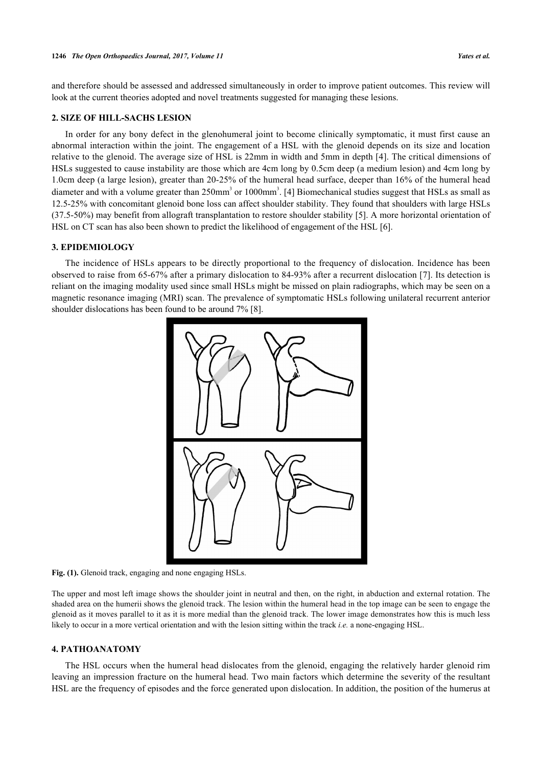and therefore should be assessed and addressed simultaneously in order to improve patient outcomes. This review will look at the current theories adopted and novel treatments suggested for managing these lesions.

#### **2. SIZE OF HILL-SACHS LESION**

In order for any bony defect in the glenohumeral joint to become clinically symptomatic, it must first cause an abnormal interaction within the joint. The engagement of a HSL with the glenoid depends on its size and location relative to the glenoid. The average size of HSL is 22mm in width and 5mm in depth [\[4](#page-8-3)]. The critical dimensions of HSLs suggested to cause instability are those which are 4cm long by 0.5cm deep (a medium lesion) and 4cm long by 1.0cm deep (a large lesion), greater than 20-25% of the humeral head surface, deeper than 16% of the humeral head diameter and with a volume greater than 250mm<sup>3</sup> or 1000mm<sup>3</sup>. [\[4](#page-8-3)] Biomechanical studies suggest that HSLs as small as 12.5-25% with concomitant glenoid bone loss can affect shoulder stability. They found that shoulders with large HSLs (37.5-50%) may benefit from allograft transplantation to restore shoulder stability [[5\]](#page-8-4). A more horizontal orientation of HSL on CT scan has also been shown to predict the likelihood of engagement of the HSL [[6\]](#page-8-5).

### **3. EPIDEMIOLOGY**

<span id="page-1-0"></span>The incidence of HSLs appears to be directly proportional to the frequency of dislocation. Incidence has been observed to raise from 65-67% after a primary dislocation to 84-93% after a recurrent dislocation [\[7\]](#page-8-6). Its detection is reliant on the imaging modality used since small HSLs might be missed on plain radiographs, which may be seen on a magnetic resonance imaging (MRI) scan. The prevalence of symptomatic HSLs following unilateral recurrent anterior shoulder dislocations has been found to be around 7% [[8\]](#page-8-7).



**Fig. (1).** Glenoid track, engaging and none engaging HSLs.

The upper and most left image shows the shoulder joint in neutral and then, on the right, in abduction and external rotation. The shaded area on the humerii shows the glenoid track. The lesion within the humeral head in the top image can be seen to engage the glenoid as it moves parallel to it as it is more medial than the glenoid track. The lower image demonstrates how this is much less likely to occur in a more vertical orientation and with the lesion sitting within the track *i.e.* a none-engaging HSL.

#### **4. PATHOANATOMY**

The HSL occurs when the humeral head dislocates from the glenoid, engaging the relatively harder glenoid rim leaving an impression fracture on the humeral head. Two main factors which determine the severity of the resultant HSL are the frequency of episodes and the force generated upon dislocation. In addition, the position of the humerus at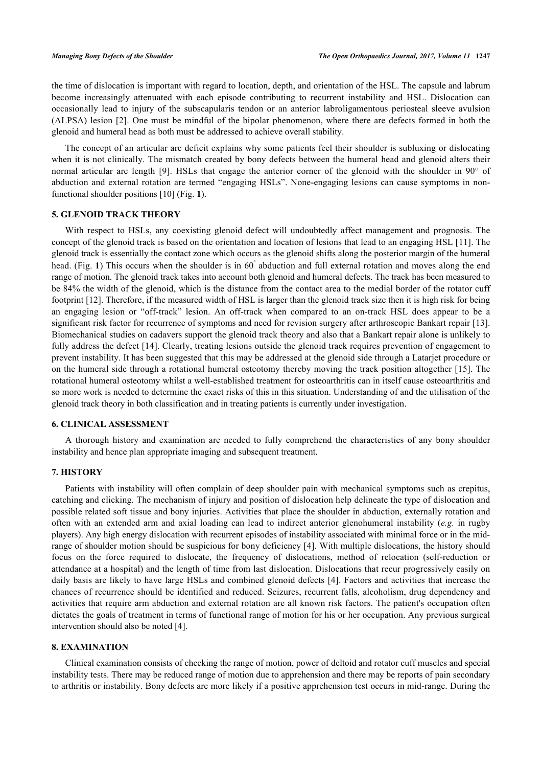the time of dislocation is important with regard to location, depth, and orientation of the HSL. The capsule and labrum become increasingly attenuated with each episode contributing to recurrent instability and HSL. Dislocation can occasionally lead to injury of the subscapularis tendon or an anterior labroligamentous periosteal sleeve avulsion (ALPSA) lesion [[2\]](#page-8-1). One must be mindful of the bipolar phenomenon, where there are defects formed in both the glenoid and humeral head as both must be addressed to achieve overall stability.

The concept of an articular arc deficit explains why some patients feel their shoulder is subluxing or dislocating when it is not clinically. The mismatch created by bony defects between the humeral head and glenoid alters their normal articular arc length [\[9](#page-8-8)]. HSLs that engage the anterior corner of the glenoid with the shoulder in 90° of abduction and external rotation are termed "engaging HSLs". None-engaging lesions can cause symptoms in nonfunctional shoulder positions [[10\]](#page-8-9) (Fig. **[1](#page-1-0)**).

#### **5. GLENOID TRACK THEORY**

With respect to HSLs, any coexisting glenoid defect will undoubtedly affect management and prognosis. The concept of the glenoid track is based on the orientation and location of lesions that lead to an engaging HSL [[11](#page-8-10)]. The glenoid track is essentially the contact zone which occurs as the glenoid shifts along the posterior margin of the humeral head. (Fig. [1](#page-1-0)) This occurs when the shoulder is in 60° abduction and full external rotation and moves along the end range of motion. The glenoid track takes into account both glenoid and humeral defects. The track has been measured to be 84% the width of the glenoid, which is the distance from the contact area to the medial border of the rotator cuff footprint [[12\]](#page-8-11). Therefore, if the measured width of HSL is larger than the glenoid track size then it is high risk for being an engaging lesion or "off-track" lesion. An off-track when compared to an on-track HSL does appear to be a significant risk factor for recurrence of symptoms and need for revision surgery after arthroscopic Bankart repair [[13\]](#page-8-12). Biomechanical studies on cadavers support the glenoid track theory and also that a Bankart repair alone is unlikely to fully address the defect [\[14\]](#page-8-13). Clearly, treating lesions outside the glenoid track requires prevention of engagement to prevent instability. It has been suggested that this may be addressed at the glenoid side through a Latarjet procedure or on the humeral side through a rotational humeral osteotomy thereby moving the track position altogether [\[15](#page-8-14)]. The rotational humeral osteotomy whilst a well-established treatment for osteoarthritis can in itself cause osteoarthritis and so more work is needed to determine the exact risks of this in this situation. Understanding of and the utilisation of the glenoid track theory in both classification and in treating patients is currently under investigation.

#### **6. CLINICAL ASSESSMENT**

A thorough history and examination are needed to fully comprehend the characteristics of any bony shoulder instability and hence plan appropriate imaging and subsequent treatment.

#### **7. HISTORY**

Patients with instability will often complain of deep shoulder pain with mechanical symptoms such as crepitus, catching and clicking. The mechanism of injury and position of dislocation help delineate the type of dislocation and possible related soft tissue and bony injuries. Activities that place the shoulder in abduction, externally rotation and often with an extended arm and axial loading can lead to indirect anterior glenohumeral instability (*e.g.* in rugby players). Any high energy dislocation with recurrent episodes of instability associated with minimal force or in the midrange of shoulder motion should be suspicious for bony deficiency [[4](#page-8-3)]. With multiple dislocations, the history should focus on the force required to dislocate, the frequency of dislocations, method of relocation (self-reduction or attendance at a hospital) and the length of time from last dislocation. Dislocations that recur progressively easily on daily basis are likely to have large HSLs and combined glenoid defects [[4\]](#page-8-3). Factors and activities that increase the chances of recurrence should be identified and reduced. Seizures, recurrent falls, alcoholism, drug dependency and activities that require arm abduction and external rotation are all known risk factors. The patient's occupation often dictates the goals of treatment in terms of functional range of motion for his or her occupation. Any previous surgical intervention should also be noted [\[4](#page-8-3)].

#### **8. EXAMINATION**

Clinical examination consists of checking the range of motion, power of deltoid and rotator cuff muscles and special instability tests. There may be reduced range of motion due to apprehension and there may be reports of pain secondary to arthritis or instability. Bony defects are more likely if a positive apprehension test occurs in mid-range. During the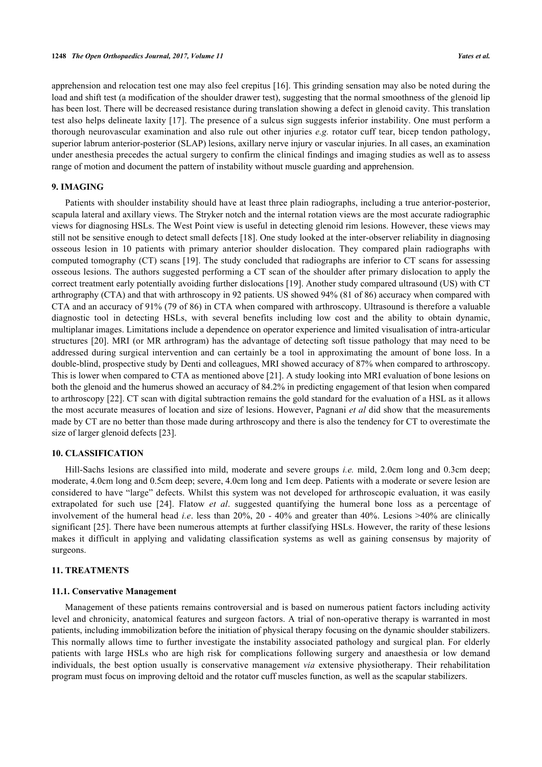apprehension and relocation test one may also feel crepitus [\[16\]](#page-9-0). This grinding sensation may also be noted during the load and shift test (a modification of the shoulder drawer test), suggesting that the normal smoothness of the glenoid lip has been lost. There will be decreased resistance during translation showing a defect in glenoid cavity. This translation test also helps delineate laxity [\[17](#page-9-1)]. The presence of a sulcus sign suggests inferior instability. One must perform a thorough neurovascular examination and also rule out other injuries *e.g.* rotator cuff tear, bicep tendon pathology, superior labrum anterior-posterior (SLAP) lesions, axillary nerve injury or vascular injuries. In all cases, an examination under anesthesia precedes the actual surgery to confirm the clinical findings and imaging studies as well as to assess range of motion and document the pattern of instability without muscle guarding and apprehension.

#### **9. IMAGING**

Patients with shoulder instability should have at least three plain radiographs, including a true anterior-posterior, scapula lateral and axillary views. The Stryker notch and the internal rotation views are the most accurate radiographic views for diagnosing HSLs. The West Point view is useful in detecting glenoid rim lesions. However, these views may still not be sensitive enough to detect small defects [\[18](#page-9-2)]. One study looked at the inter-observer reliability in diagnosing osseous lesion in 10 patients with primary anterior shoulder dislocation. They compared plain radiographs with computed tomography (CT) scans [\[19\]](#page-9-3). The study concluded that radiographs are inferior to CT scans for assessing osseous lesions. The authors suggested performing a CT scan of the shoulder after primary dislocation to apply the correct treatment early potentially avoiding further dislocations [[19\]](#page-9-3). Another study compared ultrasound (US) with CT arthrography (CTA) and that with arthroscopy in 92 patients. US showed 94% (81 of 86) accuracy when compared with CTA and an accuracy of 91% (79 of 86) in CTA when compared with arthroscopy. Ultrasound is therefore a valuable diagnostic tool in detecting HSLs, with several benefits including low cost and the ability to obtain dynamic, multiplanar images. Limitations include a dependence on operator experience and limited visualisation of intra-articular structures [[20\]](#page-9-4). MRI (or MR arthrogram) has the advantage of detecting soft tissue pathology that may need to be addressed during surgical intervention and can certainly be a tool in approximating the amount of bone loss. In a double-blind, prospective study by Denti and colleagues, MRI showed accuracy of 87% when compared to arthroscopy. This is lower when compared to CTA as mentioned above [\[21](#page-9-5)]. A study looking into MRI evaluation of bone lesions on both the glenoid and the humerus showed an accuracy of 84.2% in predicting engagement of that lesion when compared to arthroscopy [[22\]](#page-9-6). CT scan with digital subtraction remains the gold standard for the evaluation of a HSL as it allows the most accurate measures of location and size of lesions. However, Pagnani *et al* did show that the measurements made by CT are no better than those made during arthroscopy and there is also the tendency for CT to overestimate the size of larger glenoid defects [\[23](#page-9-7)].

#### **10. CLASSIFICATION**

Hill-Sachs lesions are classified into mild, moderate and severe groups *i.e.* mild, 2.0cm long and 0.3cm deep; moderate, 4.0cm long and 0.5cm deep; severe, 4.0cm long and 1cm deep. Patients with a moderate or severe lesion are considered to have "large" defects. Whilst this system was not developed for arthroscopic evaluation, it was easily extrapolated for such use [\[24](#page-9-8)]. Flatow *et al*. suggested quantifying the humeral bone loss as a percentage of involvement of the humeral head *i.e*. less than 20%, 20 - 40% and greater than 40%. Lesions >40% are clinically significant [[25](#page-9-9)]. There have been numerous attempts at further classifying HSLs. However, the rarity of these lesions makes it difficult in applying and validating classification systems as well as gaining consensus by majority of surgeons.

#### **11. TREATMENTS**

#### **11.1. Conservative Management**

Management of these patients remains controversial and is based on numerous patient factors including activity level and chronicity, anatomical features and surgeon factors. A trial of non-operative therapy is warranted in most patients, including immobilization before the initiation of physical therapy focusing on the dynamic shoulder stabilizers. This normally allows time to further investigate the instability associated pathology and surgical plan. For elderly patients with large HSLs who are high risk for complications following surgery and anaesthesia or low demand individuals, the best option usually is conservative management *via* extensive physiotherapy. Their rehabilitation program must focus on improving deltoid and the rotator cuff muscles function, as well as the scapular stabilizers.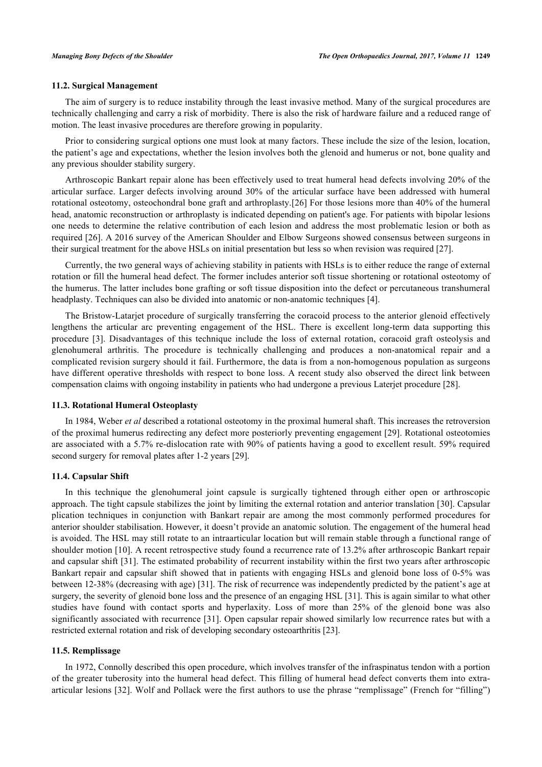#### **11.2. Surgical Management**

The aim of surgery is to reduce instability through the least invasive method. Many of the surgical procedures are technically challenging and carry a risk of morbidity. There is also the risk of hardware failure and a reduced range of motion. The least invasive procedures are therefore growing in popularity.

Prior to considering surgical options one must look at many factors. These include the size of the lesion, location, the patient's age and expectations, whether the lesion involves both the glenoid and humerus or not, bone quality and any previous shoulder stability surgery.

Arthroscopic Bankart repair alone has been effectively used to treat humeral head defects involving 20% of the articular surface. Larger defects involving around 30% of the articular surface have been addressed with humeral rotational osteotomy, osteochondral bone graft and arthroplasty.[[26](#page-9-10)] For those lesions more than 40% of the humeral head, anatomic reconstruction or arthroplasty is indicated depending on patient's age. For patients with bipolar lesions one needs to determine the relative contribution of each lesion and address the most problematic lesion or both as required [[26](#page-9-10)]. A 2016 survey of the American Shoulder and Elbow Surgeons showed consensus between surgeons in their surgical treatment for the above HSLs on initial presentation but less so when revision was required [\[27](#page-9-11)].

Currently, the two general ways of achieving stability in patients with HSLs is to either reduce the range of external rotation or fill the humeral head defect. The former includes anterior soft tissue shortening or rotational osteotomy of the humerus. The latter includes bone grafting or soft tissue disposition into the defect or percutaneous transhumeral headplasty. Techniques can also be divided into anatomic or non-anatomic techniques [[4\]](#page-8-3).

The Bristow-Latarjet procedure of surgically transferring the coracoid process to the anterior glenoid effectively lengthens the articular arc preventing engagement of the HSL. There is excellent long-term data supporting this procedure[[3](#page-8-2)]. Disadvantages of this technique include the loss of external rotation, coracoid graft osteolysis and glenohumeral arthritis. The procedure is technically challenging and produces a non-anatomical repair and a complicated revision surgery should it fail. Furthermore, the data is from a non-homogenous population as surgeons have different operative thresholds with respect to bone loss. A recent study also observed the direct link between compensation claims with ongoing instability in patients who had undergone a previous Laterjet procedure [[28\]](#page-9-12).

#### **11.3. Rotational Humeral Osteoplasty**

In 1984, Weber *et al* described a rotational osteotomy in the proximal humeral shaft. This increases the retroversion of the proximal humerus redirecting any defect more posteriorly preventing engagement [[29\]](#page-9-13). Rotational osteotomies are associated with a 5.7% re-dislocation rate with 90% of patients having a good to excellent result. 59% required second surgery for removal plates after 1-2 years [\[29](#page-9-13)].

#### **11.4. Capsular Shift**

In this technique the glenohumeral joint capsule is surgically tightened through either open or arthroscopic approach. The tight capsule stabilizes the joint by limiting the external rotation and anterior translation [[30\]](#page-9-14). Capsular plication techniques in conjunction with Bankart repair are among the most commonly performed procedures for anterior shoulder stabilisation. However, it doesn't provide an anatomic solution. The engagement of the humeral head is avoided. The HSL may still rotate to an intraarticular location but will remain stable through a functional range of shoulder motion [[10\]](#page-8-9). A recent retrospective study found a recurrence rate of 13.2% after arthroscopic Bankart repair and capsular shift [[31](#page-9-15)]. The estimated probability of recurrent instability within the first two years after arthroscopic Bankart repair and capsular shift showed that in patients with engaging HSLs and glenoid bone loss of 0-5% was between 12-38% (decreasing with age) [\[31\]](#page-9-15). The risk of recurrence was independently predicted by the patient's age at surgery, the severity of glenoid bone loss and the presence of an engaging HSL [\[31](#page-9-15)]. This is again similar to what other studies have found with contact sports and hyperlaxity. Loss of more than 25% of the glenoid bone was also significantly associated with recurrence [\[31](#page-9-15)]. Open capsular repair showed similarly low recurrence rates but with a restricted external rotation and risk of developing secondary osteoarthritis [\[23](#page-9-7)].

#### **11.5. Remplissage**

In 1972, Connolly described this open procedure, which involves transfer of the infraspinatus tendon with a portion of the greater tuberosity into the humeral head defect. This filling of humeral head defect converts them into extraarticular lesions [\[32](#page-9-16)]. Wolf and Pollack were the first authors to use the phrase "remplissage" (French for "filling")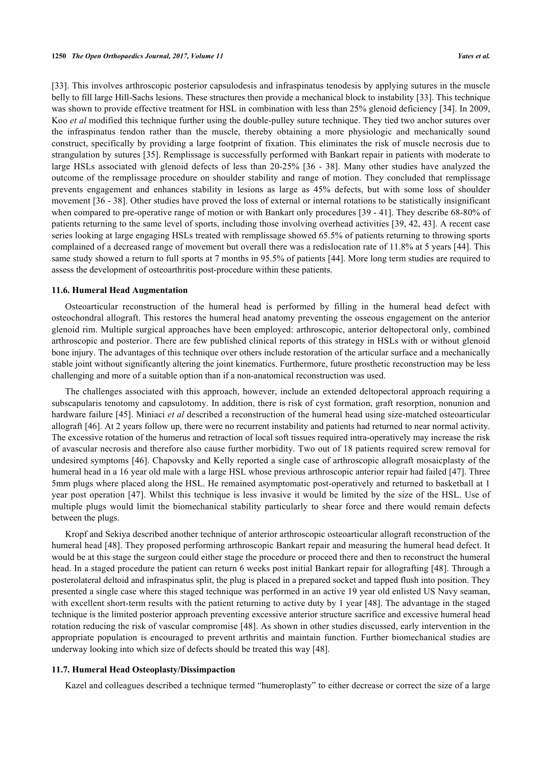[\[33](#page-9-17)]. This involves arthroscopic posterior capsulodesis and infraspinatus tenodesis by applying sutures in the muscle belly to fill large Hill-Sachs lesions. These structures then provide a mechanical block to instability [[33\]](#page-9-17). This technique was shown to provide effective treatment for HSL in combination with less than 25% glenoid deficiency [\[34](#page-9-18)]. In 2009, Koo *et al* modified this technique further using the double-pulley suture technique. They tied two anchor sutures over the infraspinatus tendon rather than the muscle, thereby obtaining a more physiologic and mechanically sound construct, specifically by providing a large footprint of fixation. This eliminates the risk of muscle necrosis due to strangulation by sutures [[35\]](#page-9-19). Remplissage is successfully performed with Bankart repair in patients with moderate to large HSLs associated with glenoid defects of less than 20-25% [\[36](#page-10-0) - [38\]](#page-10-1). Many other studies have analyzed the outcome of the remplissage procedure on shoulder stability and range of motion. They concluded that remplissage prevents engagement and enhances stability in lesions as large as 45% defects, but with some loss of shoulder movement [\[36](#page-10-0) - [38\]](#page-10-1). Other studies have proved the loss of external or internal rotations to be statistically insignificant when compared to pre-operative range of motion or with Bankart only procedures [[39](#page-10-2) - [41\]](#page-10-3). They describe 68-80% of patients returning to the same level of sports, including those involving overhead activities [[39,](#page-10-2) [42](#page-10-4), [43\]](#page-10-5). A recent case series looking at large engaging HSLs treated with remplissage showed 65.5% of patients returning to throwing sports complained of a decreased range of movement but overall there was a redislocation rate of 11.8% at 5 years [[44](#page-10-6)]. This same study showed a return to full sports at 7 months in 95.5% of patients [[44\]](#page-10-6). More long term studies are required to assess the development of osteoarthritis post-procedure within these patients.

#### **11.6. Humeral Head Augmentation**

Osteoarticular reconstruction of the humeral head is performed by filling in the humeral head defect with osteochondral allograft. This restores the humeral head anatomy preventing the osseous engagement on the anterior glenoid rim. Multiple surgical approaches have been employed: arthroscopic, anterior deltopectoral only, combined arthroscopic and posterior. There are few published clinical reports of this strategy in HSLs with or without glenoid bone injury. The advantages of this technique over others include restoration of the articular surface and a mechanically stable joint without significantly altering the joint kinematics. Furthermore, future prosthetic reconstruction may be less challenging and more of a suitable option than if a non-anatomical reconstruction was used.

The challenges associated with this approach, however, include an extended deltopectoral approach requiring a subscapularis tenotomy and capsulotomy. In addition, there is risk of cyst formation, graft resorption, nonunion and hardware failure [[45\]](#page-10-7). Miniaci *et al* described a reconstruction of the humeral head using size-matched osteoarticular allograft [[46\]](#page-10-8). At 2 years follow up, there were no recurrent instability and patients had returned to near normal activity. The excessive rotation of the humerus and retraction of local soft tissues required intra-operatively may increase the risk of avascular necrosis and therefore also cause further morbidity. Two out of 18 patients required screw removal for undesired symptoms [\[46](#page-10-8)]. Chapovsky and Kelly reported a single case of arthroscopic allograft mosaicplasty of the humeral head in a 16 year old male with a large HSL whose previous arthroscopic anterior repair had failed [[47\]](#page-10-9). Three 5mm plugs where placed along the HSL. He remained asymptomatic post-operatively and returned to basketball at 1 year post operation [\[47](#page-10-9)]. Whilst this technique is less invasive it would be limited by the size of the HSL. Use of multiple plugs would limit the biomechanical stability particularly to shear force and there would remain defects between the plugs.

Kropf and Sekiya described another technique of anterior arthroscopic osteoarticular allograft reconstruction of the humeral head [\[48\]](#page-10-10). They proposed performing arthroscopic Bankart repair and measuring the humeral head defect. It would be at this stage the surgeon could either stage the procedure or proceed there and then to reconstruct the humeral head. In a staged procedure the patient can return 6 weeks post initial Bankart repair for allografting [[48](#page-10-10)]. Through a posterolateral deltoid and infraspinatus split, the plug is placed in a prepared socket and tapped flush into position. They presented a single case where this staged technique was performed in an active 19 year old enlisted US Navy seaman, with excellent short-term results with the patient returning to active duty by 1 year [\[48\]](#page-10-10). The advantage in the staged technique is the limited posterior approach preventing excessive anterior structure sacrifice and excessive humeral head rotation reducing the risk of vascular compromise [[48\]](#page-10-10). As shown in other studies discussed, early intervention in the appropriate population is encouraged to prevent arthritis and maintain function. Further biomechanical studies are underway looking into which size of defects should be treated this way [[48\]](#page-10-10).

#### **11.7. Humeral Head Osteoplasty/Dissimpaction**

Kazel and colleagues described a technique termed "humeroplasty" to either decrease or correct the size of a large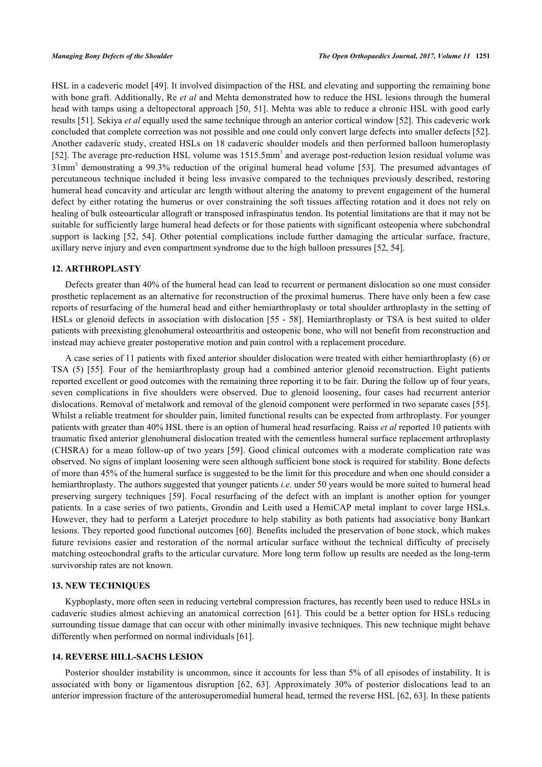HSL in a cadeveric model [[49\]](#page-10-11). It involved disimpaction of the HSL and elevating and supporting the remaining bone with bone graft. Additionally, Re *et al* and Mehta demonstrated how to reduce the HSL lesions through the humeral head with tamps using a deltopectoral approach [[50,](#page-10-12) [51\]](#page-10-13). Mehta was able to reduce a chronic HSL with good early results [[51\]](#page-10-13). Sekiya *et al* equally used the same technique through an anterior cortical window [[52\]](#page-10-14). This cadeveric work concluded that complete correction was not possible and one could only convert large defects into smaller defects [[52\]](#page-10-14). Another cadaveric study, created HSLs on 18 cadaveric shoulder models and then performed balloon humeroplasty [\[52](#page-10-14)]. The average pre-reduction HSL volume was 1515.5mm<sup>3</sup> and average post-reduction lesion residual volume was 31mm<sup>3</sup>demonstrating a 99.3% reduction of the original humeral head volume [[53](#page-10-15)]. The presumed advantages of percutaneous technique included it being less invasive compared to the techniques previously described, restoring humeral head concavity and articular arc length without altering the anatomy to prevent engagement of the humeral defect by either rotating the humerus or over constraining the soft tissues affecting rotation and it does not rely on healing of bulk osteoarticular allograft or transposed infraspinatus tendon. Its potential limitations are that it may not be suitable for sufficiently large humeral head defects or for those patients with significant osteopenia where subchondral support is lacking [\[52,](#page-10-14) [54](#page-10-16)]. Other potential complications include further damaging the articular surface, fracture, axillary nerve injury and even compartment syndrome due to the high balloon pressures [\[52](#page-10-14), [54](#page-10-16)].

#### **12. ARTHROPLASTY**

Defects greater than 40% of the humeral head can lead to recurrent or permanent dislocation so one must consider prosthetic replacement as an alternative for reconstruction of the proximal humerus. There have only been a few case reports of resurfacing of the humeral head and either hemiarthroplasty or total shoulder arthroplasty in the setting of HSLs or glenoid defects in association with dislocation [[55](#page-11-0) - [58\]](#page-11-1). Hemiarthroplasty or TSA is best suited to older patients with preexisting glenohumeral osteoarthritis and osteopenic bone, who will not benefit from reconstruction and instead may achieve greater postoperative motion and pain control with a replacement procedure.

A case series of 11 patients with fixed anterior shoulder dislocation were treated with either hemiarthroplasty (6) or TSA (5) [\[55\]](#page-11-0). Four of the hemiarthroplasty group had a combined anterior glenoid reconstruction. Eight patients reported excellent or good outcomes with the remaining three reporting it to be fair. During the follow up of four years, seven complications in five shoulders were observed. Due to glenoid loosening, four cases had recurrent anterior dislocations. Removal of metalwork and removal of the glenoid component were performed in two separate cases [[55\]](#page-11-0). Whilst a reliable treatment for shoulder pain, limited functional results can be expected from arthroplasty. For younger patients with greater than 40% HSL there is an option of humeral head resurfacing. Raiss *et al* reported 10 patients with traumatic fixed anterior glenohumeral dislocation treated with the cementless humeral surface replacement arthroplasty (CHSRA) for a mean follow-up of two years [\[59\]](#page-11-2). Good clinical outcomes with a moderate complication rate was observed. No signs of implant loosening were seen although sufficient bone stock is required for stability. Bone defects of more than 45% of the humeral surface is suggested to be the limit for this procedure and when one should consider a hemiarthroplasty. The authors suggested that younger patients *i.e.* under 50 years would be more suited to humeral head preserving surgery techniques [\[59\]](#page-11-2). Focal resurfacing of the defect with an implant is another option for younger patients. In a case series of two patients, Grondin and Leith used a HemiCAP metal implant to cover large HSLs. However, they had to perform a Laterjet procedure to help stability as both patients had associative bony Bankart lesions. They reported good functional outcomes [[60\]](#page-11-3). Benefits included the preservation of bone stock, which makes future revisions easier and restoration of the normal articular surface without the technical difficulty of precisely matching osteochondral grafts to the articular curvature. More long term follow up results are needed as the long-term survivorship rates are not known.

#### **13. NEW TECHNIQUES**

Kyphoplasty, more often seen in reducing vertebral compression fractures, has recently been used to reduce HSLs in cadaveric studies almost achieving an anatomical correction [\[61\]](#page-11-4). This could be a better option for HSLs reducing surrounding tissue damage that can occur with other minimally invasive techniques. This new technique might behave differently when performed on normal individuals [\[61](#page-11-4)].

#### **14. REVERSE HILL-SACHS LESION**

Posterior shoulder instability is uncommon, since it accounts for less than 5% of all episodes of instability. It is associated with bony or ligamentous disruption[[62,](#page-11-5) [63\]](#page-11-6). Approximately 30% of posterior dislocations lead to an anterior impression fracture of the anterosuperomedial humeral head, termed the reverse HSL [[62,](#page-11-5) [63\]](#page-11-6). In these patients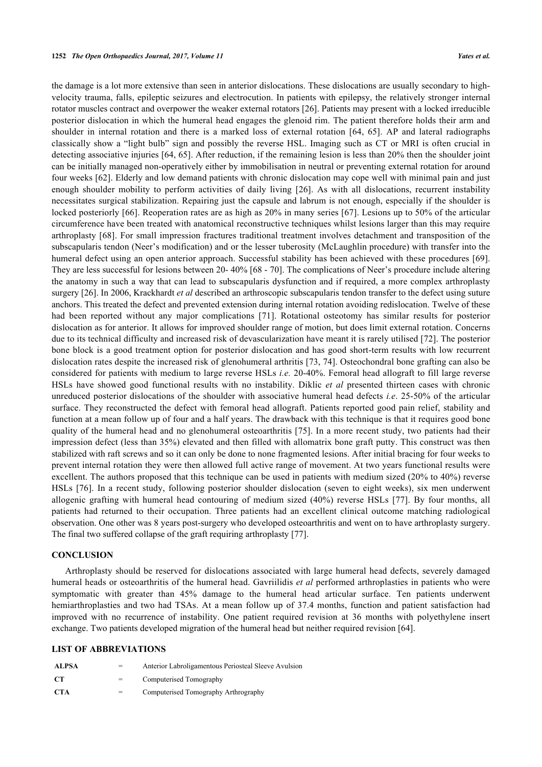the damage is a lot more extensive than seen in anterior dislocations. These dislocations are usually secondary to highvelocity trauma, falls, epileptic seizures and electrocution. In patients with epilepsy, the relatively stronger internal rotator muscles contract and overpower the weaker external rotators [\[26](#page-9-10)]. Patients may present with a locked irreducible posterior dislocation in which the humeral head engages the glenoid rim. The patient therefore holds their arm and shoulder in internal rotation and there is a marked loss of external rotation[[64](#page-11-7), [65](#page-11-8)]. AP and lateral radiographs classically show a "light bulb" sign and possibly the reverse HSL. Imaging such as CT or MRI is often crucial in detecting associative injuries [[64,](#page-11-7) [65](#page-11-8)]. After reduction, if the remaining lesion is less than 20% then the shoulder joint can be initially managed non-operatively either by immobilisation in neutral or preventing external rotation for around four weeks [[62](#page-11-5)]. Elderly and low demand patients with chronic dislocation may cope well with minimal pain and just enough shoulder mobility to perform activities of daily living [\[26](#page-9-10)]. As with all dislocations, recurrent instability necessitates surgical stabilization. Repairing just the capsule and labrum is not enough, especially if the shoulder is locked posteriorly [[66\]](#page-11-9). Reoperation rates are as high as 20% in many series [\[67\]](#page-11-10). Lesions up to 50% of the articular circumference have been treated with anatomical reconstructive techniques whilst lesions larger than this may require arthroplasty [[68\]](#page-11-11). For small impression fractures traditional treatment involves detachment and transposition of the subscapularis tendon (Neer's modification) and or the lesser tuberosity (McLaughlin procedure) with transfer into the humeral defect using an open anterior approach. Successful stability has been achieved with these procedures [\[69\]](#page-11-12). They are less successful for lesions between 20- 40% [[68](#page-11-11) - [70\]](#page-11-13). The complications of Neer's procedure include altering the anatomy in such a way that can lead to subscapularis dysfunction and if required, a more complex arthroplasty surgery [[26\]](#page-9-10). In 2006, Krackhardt *et al* described an arthroscopic subscapularis tendon transfer to the defect using suture anchors. This treated the defect and prevented extension during internal rotation avoiding redislocation. Twelve of these had been reported without any major complications[[71\]](#page-11-14). Rotational osteotomy has similar results for posterior dislocation as for anterior. It allows for improved shoulder range of motion, but does limit external rotation. Concerns due to its technical difficulty and increased risk of devascularization have meant it is rarely utilised [[72\]](#page-11-15). The posterior bone block is a good treatment option for posterior dislocation and has good short-term results with low recurrent dislocation rates despite the increased risk of glenohumeral arthritis [\[73,](#page-11-16) [74](#page-11-17)]. Osteochondral bone grafting can also be considered for patients with medium to large reverse HSLs *i.e.* 20-40%. Femoral head allograft to fill large reverse HSLs have showed good functional results with no instability. Diklic *et al* presented thirteen cases with chronic unreduced posterior dislocations of the shoulder with associative humeral head defects *i.e*. 25-50% of the articular surface. They reconstructed the defect with femoral head allograft. Patients reported good pain relief, stability and function at a mean follow up of four and a half years. The drawback with this technique is that it requires good bone quality of the humeral head and no glenohumeral osteoarthritis [[75\]](#page-12-0). In a more recent study, two patients had their impression defect (less than 35%) elevated and then filled with allomatrix bone graft putty. This construct was then stabilized with raft screws and so it can only be done to none fragmented lesions. After initial bracing for four weeks to prevent internal rotation they were then allowed full active range of movement. At two years functional results were excellent. The authors proposed that this technique can be used in patients with medium sized (20% to 40%) reverse HSLs [[76](#page-12-1)]. In a recent study, following posterior shoulder dislocation (seven to eight weeks), six men underwent allogenic grafting with humeral head contouring of medium sized (40%) reverse HSLs[[77\]](#page-12-2). By four months, all patients had returned to their occupation. Three patients had an excellent clinical outcome matching radiological observation. One other was 8 years post-surgery who developed osteoarthritis and went on to have arthroplasty surgery. The final two suffered collapse of the graft requiring arthroplasty [\[77](#page-12-2)].

#### **CONCLUSION**

Arthroplasty should be reserved for dislocations associated with large humeral head defects, severely damaged humeral heads or osteoarthritis of the humeral head. Gavriilidis *et al* performed arthroplasties in patients who were symptomatic with greater than 45% damage to the humeral head articular surface. Ten patients underwent hemiarthroplasties and two had TSAs. At a mean follow up of 37.4 months, function and patient satisfaction had improved with no recurrence of instability. One patient required revision at 36 months with polyethylene insert exchange. Two patients developed migration of the humeral head but neither required revision [[64\]](#page-11-7).

#### **LIST OF ABBREVIATIONS**

| <b>ALPSA</b> | =   | Anterior Labroligamentous Periosteal Sleeve Avulsion |
|--------------|-----|------------------------------------------------------|
| CT.          | $=$ | Computerised Tomography                              |
| -CTA         | $=$ | Computerised Tomography Arthrography                 |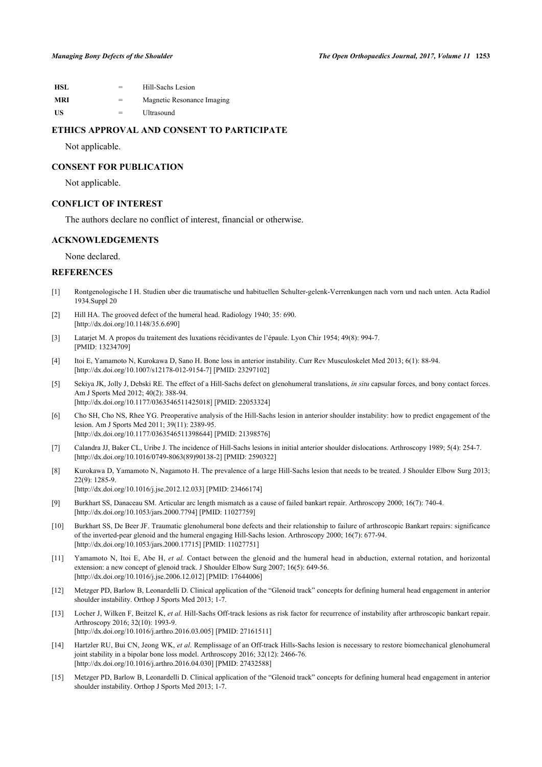| HSL | $=$ | Hill-Sachs Lesion          |
|-----|-----|----------------------------|
| MRI | $=$ | Magnetic Resonance Imaging |
| US  | $=$ | Ultrasound                 |

#### **ETHICS APPROVAL AND CONSENT TO PARTICIPATE**

Not applicable.

#### **CONSENT FOR PUBLICATION**

Not applicable.

#### **CONFLICT OF INTEREST**

The authors declare no conflict of interest, financial or otherwise.

#### **ACKNOWLEDGEMENTS**

None declared.

#### **REFERENCES**

- <span id="page-8-0"></span>[1] Rontgenologische I H. Studien uber die traumatische und habituellen Schulter-gelenk-Verrenkungen nach vorn und nach unten. Acta Radiol 1934.Suppl 20
- <span id="page-8-1"></span>[2] Hill HA. The grooved defect of the humeral head. Radiology 1940; 35: 690. [\[http://dx.doi.org/10.1148/35.6.690\]](http://dx.doi.org/10.1148/35.6.690)
- <span id="page-8-2"></span>[3] Latarjet M. A propos du traitement des luxations récidivantes de l'épaule. Lyon Chir 1954; 49(8): 994-7. [PMID: [13234709\]](http://www.ncbi.nlm.nih.gov/pubmed/13234709)
- <span id="page-8-3"></span>[4] Itoi E, Yamamoto N, Kurokawa D, Sano H. Bone loss in anterior instability. Curr Rev Musculoskelet Med 2013; 6(1): 88-94. [\[http://dx.doi.org/10.1007/s12178-012-9154-7\]](http://dx.doi.org/10.1007/s12178-012-9154-7) [PMID: [23297102](http://www.ncbi.nlm.nih.gov/pubmed/23297102)]
- <span id="page-8-4"></span>[5] Sekiya JK, Jolly J, Debski RE. The effect of a Hill-Sachs defect on glenohumeral translations, *in situ* capsular forces, and bony contact forces. Am J Sports Med 2012; 40(2): 388-94. [\[http://dx.doi.org/10.1177/0363546511425018\]](http://dx.doi.org/10.1177/0363546511425018) [PMID: [22053324](http://www.ncbi.nlm.nih.gov/pubmed/22053324)]
- <span id="page-8-5"></span>[6] Cho SH, Cho NS, Rhee YG. Preoperative analysis of the Hill-Sachs lesion in anterior shoulder instability: how to predict engagement of the lesion. Am J Sports Med 2011; 39(11): 2389-95. [\[http://dx.doi.org/10.1177/0363546511398644\]](http://dx.doi.org/10.1177/0363546511398644) [PMID: [21398576](http://www.ncbi.nlm.nih.gov/pubmed/21398576)]
- <span id="page-8-6"></span>[7] Calandra JJ, Baker CL, Uribe J. The incidence of Hill-Sachs lesions in initial anterior shoulder dislocations. Arthroscopy 1989; 5(4): 254-7. [\[http://dx.doi.org/10.1016/0749-8063\(89\)90138-2](http://dx.doi.org/10.1016/0749-8063(89)90138-2)] [PMID: [2590322](http://www.ncbi.nlm.nih.gov/pubmed/2590322)]
- <span id="page-8-7"></span>[8] Kurokawa D, Yamamoto N, Nagamoto H. The prevalence of a large Hill-Sachs lesion that needs to be treated. J Shoulder Elbow Surg 2013; 22(9): 1285-9. [\[http://dx.doi.org/10.1016/j.jse.2012.12.033\]](http://dx.doi.org/10.1016/j.jse.2012.12.033) [PMID: [23466174](http://www.ncbi.nlm.nih.gov/pubmed/23466174)]
- <span id="page-8-8"></span>[9] Burkhart SS, Danaceau SM. Articular arc length mismatch as a cause of failed bankart repair. Arthroscopy 2000; 16(7): 740-4. [\[http://dx.doi.org/10.1053/jars.2000.7794](http://dx.doi.org/10.1053/jars.2000.7794)] [PMID: [11027759\]](http://www.ncbi.nlm.nih.gov/pubmed/11027759)
- <span id="page-8-9"></span>[10] Burkhart SS, De Beer JF. Traumatic glenohumeral bone defects and their relationship to failure of arthroscopic Bankart repairs: significance of the inverted-pear glenoid and the humeral engaging Hill-Sachs lesion. Arthroscopy 2000; 16(7): 677-94. [\[http://dx.doi.org/10.1053/jars.2000.17715](http://dx.doi.org/10.1053/jars.2000.17715)] [PMID: [11027751\]](http://www.ncbi.nlm.nih.gov/pubmed/11027751)
- <span id="page-8-10"></span>[11] Yamamoto N, Itoi E, Abe H, *et al.* Contact between the glenoid and the humeral head in abduction, external rotation, and horizontal extension: a new concept of glenoid track. J Shoulder Elbow Surg 2007; 16(5): 649-56. [\[http://dx.doi.org/10.1016/j.jse.2006.12.012\]](http://dx.doi.org/10.1016/j.jse.2006.12.012) [PMID: [17644006](http://www.ncbi.nlm.nih.gov/pubmed/17644006)]
- <span id="page-8-11"></span>[12] Metzger PD, Barlow B, Leonardelli D. Clinical application of the "Glenoid track" concepts for defining humeral head engagement in anterior shoulder instability. Orthop J Sports Med 2013; 1-7.
- <span id="page-8-12"></span>[13] Locher J, Wilken F, Beitzel K, *et al.* Hill-Sachs Off-track lesions as risk factor for recurrence of instability after arthroscopic bankart repair. Arthroscopy 2016; 32(10): 1993-9. [\[http://dx.doi.org/10.1016/j.arthro.2016.03.005](http://dx.doi.org/10.1016/j.arthro.2016.03.005)] [PMID: [27161511\]](http://www.ncbi.nlm.nih.gov/pubmed/27161511)
- <span id="page-8-13"></span>[14] Hartzler RU, Bui CN, Jeong WK, *et al.* Remplissage of an Off-track Hills-Sachs lesion is necessary to restore biomechanical glenohumeral joint stability in a bipolar bone loss model. Arthroscopy 2016; 32(12): 2466-76. [\[http://dx.doi.org/10.1016/j.arthro.2016.04.030](http://dx.doi.org/10.1016/j.arthro.2016.04.030)] [PMID: [27432588\]](http://www.ncbi.nlm.nih.gov/pubmed/27432588)
- <span id="page-8-14"></span>[15] Metzger PD, Barlow B, Leonardelli D. Clinical application of the "Glenoid track" concepts for defining humeral head engagement in anterior shoulder instability. Orthop J Sports Med 2013; 1-7.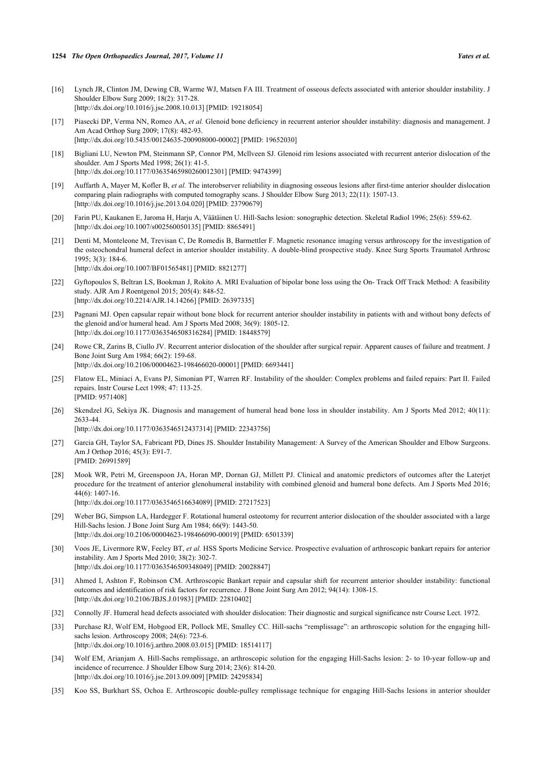- <span id="page-9-0"></span>[16] Lynch JR, Clinton JM, Dewing CB, Warme WJ, Matsen FA III. Treatment of osseous defects associated with anterior shoulder instability. J Shoulder Elbow Surg 2009; 18(2): 317-28. [\[http://dx.doi.org/10.1016/j.jse.2008.10.013\]](http://dx.doi.org/10.1016/j.jse.2008.10.013) [PMID: [19218054](http://www.ncbi.nlm.nih.gov/pubmed/19218054)]
- <span id="page-9-1"></span>[17] Piasecki DP, Verma NN, Romeo AA, *et al.* Glenoid bone deficiency in recurrent anterior shoulder instability: diagnosis and management. J Am Acad Orthop Surg 2009; 17(8): 482-93. [\[http://dx.doi.org/10.5435/00124635-200908000-00002](http://dx.doi.org/10.5435/00124635-200908000-00002)] [PMID: [19652030\]](http://www.ncbi.nlm.nih.gov/pubmed/19652030)
- <span id="page-9-2"></span>[18] Bigliani LU, Newton PM, Steinmann SP, Connor PM, Mcllveen SJ. Glenoid rim lesions associated with recurrent anterior dislocation of the shoulder. Am J Sports Med 1998; 26(1): 41-5. [\[http://dx.doi.org/10.1177/03635465980260012301\]](http://dx.doi.org/10.1177/03635465980260012301) [PMID: [9474399](http://www.ncbi.nlm.nih.gov/pubmed/9474399)]
- <span id="page-9-3"></span>[19] Auffarth A, Mayer M, Kofler B, *et al.* The interobserver reliability in diagnosing osseous lesions after first-time anterior shoulder dislocation comparing plain radiographs with computed tomography scans. J Shoulder Elbow Surg 2013; 22(11): 1507-13. [\[http://dx.doi.org/10.1016/j.jse.2013.04.020\]](http://dx.doi.org/10.1016/j.jse.2013.04.020) [PMID: [23790679](http://www.ncbi.nlm.nih.gov/pubmed/23790679)]
- <span id="page-9-4"></span>[20] Farin PU, Kaukanen E, Jaroma H, Harju A, Väätäinen U. Hill-Sachs lesion: sonographic detection. Skeletal Radiol 1996; 25(6): 559-62. [\[http://dx.doi.org/10.1007/s002560050135\]](http://dx.doi.org/10.1007/s002560050135) [PMID: [8865491](http://www.ncbi.nlm.nih.gov/pubmed/8865491)]
- <span id="page-9-5"></span>[21] Denti M, Monteleone M, Trevisan C, De Romedis B, Barmettler F. Magnetic resonance imaging versus arthroscopy for the investigation of the osteochondral humeral defect in anterior shoulder instability. A double-blind prospective study. Knee Surg Sports Traumatol Arthrosc  $1995 \cdot 3(3) \cdot 184.6$ [\[http://dx.doi.org/10.1007/BF01565481\]](http://dx.doi.org/10.1007/BF01565481) [PMID: [8821277](http://www.ncbi.nlm.nih.gov/pubmed/8821277)]
- <span id="page-9-6"></span>[22] Gyftopoulos S, Beltran LS, Bookman J, Rokito A. MRI Evaluation of bipolar bone loss using the On- Track Off Track Method: A feasibility study. AJR Am J Roentgenol 2015; 205(4): 848-52. [\[http://dx.doi.org/10.2214/AJR.14.14266](http://dx.doi.org/10.2214/AJR.14.14266)] [PMID: [26397335\]](http://www.ncbi.nlm.nih.gov/pubmed/26397335)
- <span id="page-9-7"></span>[23] Pagnani MJ. Open capsular repair without bone block for recurrent anterior shoulder instability in patients with and without bony defects of the glenoid and/or humeral head. Am J Sports Med 2008; 36(9): 1805-12. [\[http://dx.doi.org/10.1177/0363546508316284\]](http://dx.doi.org/10.1177/0363546508316284) [PMID: [18448579](http://www.ncbi.nlm.nih.gov/pubmed/18448579)]
- <span id="page-9-8"></span>[24] Rowe CR, Zarins B, Ciullo JV. Recurrent anterior dislocation of the shoulder after surgical repair. Apparent causes of failure and treatment. J Bone Joint Surg Am 1984; 66(2): 159-68. [\[http://dx.doi.org/10.2106/00004623-198466020-00001](http://dx.doi.org/10.2106/00004623-198466020-00001)] [PMID: [6693441\]](http://www.ncbi.nlm.nih.gov/pubmed/6693441)
- <span id="page-9-9"></span>[25] Flatow EL, Miniaci A, Evans PJ, Simonian PT, Warren RF. Instability of the shoulder: Complex problems and failed repairs: Part II. Failed repairs. Instr Course Lect 1998; 47: 113-25. [PMID: [9571408\]](http://www.ncbi.nlm.nih.gov/pubmed/9571408)
- <span id="page-9-10"></span>[26] Skendzel JG, Sekiya JK. Diagnosis and management of humeral head bone loss in shoulder instability. Am J Sports Med 2012; 40(11): 2633-44.

[\[http://dx.doi.org/10.1177/0363546512437314\]](http://dx.doi.org/10.1177/0363546512437314) [PMID: [22343756](http://www.ncbi.nlm.nih.gov/pubmed/22343756)]

- <span id="page-9-11"></span>[27] Garcia GH, Taylor SA, Fabricant PD, Dines JS. Shoulder Instability Management: A Survey of the American Shoulder and Elbow Surgeons. Am J Orthop 2016; 45(3): E91-7. [PMID: [26991589\]](http://www.ncbi.nlm.nih.gov/pubmed/26991589)
- <span id="page-9-12"></span>[28] Mook WR, Petri M, Greenspoon JA, Horan MP, Dornan GJ, Millett PJ. Clinical and anatomic predictors of outcomes after the Laterjet procedure for the treatment of anterior glenohumeral instability with combined glenoid and humeral bone defects. Am J Sports Med 2016; 44(6): 1407-16. [\[http://dx.doi.org/10.1177/0363546516634089\]](http://dx.doi.org/10.1177/0363546516634089) [PMID: [27217523](http://www.ncbi.nlm.nih.gov/pubmed/27217523)]
- <span id="page-9-13"></span>[29] Weber BG, Simpson LA, Hardegger F. Rotational humeral osteotomy for recurrent anterior dislocation of the shoulder associated with a large Hill-Sachs lesion. J Bone Joint Surg Am 1984; 66(9): 1443-50. [\[http://dx.doi.org/10.2106/00004623-198466090-00019](http://dx.doi.org/10.2106/00004623-198466090-00019)] [PMID: [6501339\]](http://www.ncbi.nlm.nih.gov/pubmed/6501339)
- <span id="page-9-14"></span>[30] Voos JE, Livermore RW, Feeley BT, *et al.* HSS Sports Medicine Service. Prospective evaluation of arthroscopic bankart repairs for anterior instability. Am J Sports Med 2010; 38(2): 302-7. [\[http://dx.doi.org/10.1177/0363546509348049\]](http://dx.doi.org/10.1177/0363546509348049) [PMID: [20028847](http://www.ncbi.nlm.nih.gov/pubmed/20028847)]
- <span id="page-9-15"></span>[31] Ahmed I, Ashton F, Robinson CM. Arthroscopic Bankart repair and capsular shift for recurrent anterior shoulder instability: functional outcomes and identification of risk factors for recurrence. J Bone Joint Surg Am 2012; 94(14): 1308-15. [\[http://dx.doi.org/10.2106/JBJS.J.01983\]](http://dx.doi.org/10.2106/JBJS.J.01983) [PMID: [22810402](http://www.ncbi.nlm.nih.gov/pubmed/22810402)]
- <span id="page-9-16"></span>[32] Connolly JF. Humeral head defects associated with shoulder dislocation: Their diagnostic and surgical significance nstr Course Lect. 1972.
- <span id="page-9-17"></span>[33] Purchase RJ, Wolf EM, Hobgood ER, Pollock ME, Smalley CC. Hill-sachs "remplissage": an arthroscopic solution for the engaging hillsachs lesion. Arthroscopy 2008; 24(6): 723-6. [\[http://dx.doi.org/10.1016/j.arthro.2008.03.015](http://dx.doi.org/10.1016/j.arthro.2008.03.015)] [PMID: [18514117\]](http://www.ncbi.nlm.nih.gov/pubmed/18514117)
- <span id="page-9-18"></span>[34] Wolf EM, Arianjam A. Hill-Sachs remplissage, an arthroscopic solution for the engaging Hill-Sachs lesion: 2- to 10-year follow-up and incidence of recurrence. J Shoulder Elbow Surg 2014; 23(6): 814-20. [\[http://dx.doi.org/10.1016/j.jse.2013.09.009\]](http://dx.doi.org/10.1016/j.jse.2013.09.009) [PMID: [24295834](http://www.ncbi.nlm.nih.gov/pubmed/24295834)]
- <span id="page-9-19"></span>[35] Koo SS, Burkhart SS, Ochoa E. Arthroscopic double-pulley remplissage technique for engaging Hill-Sachs lesions in anterior shoulder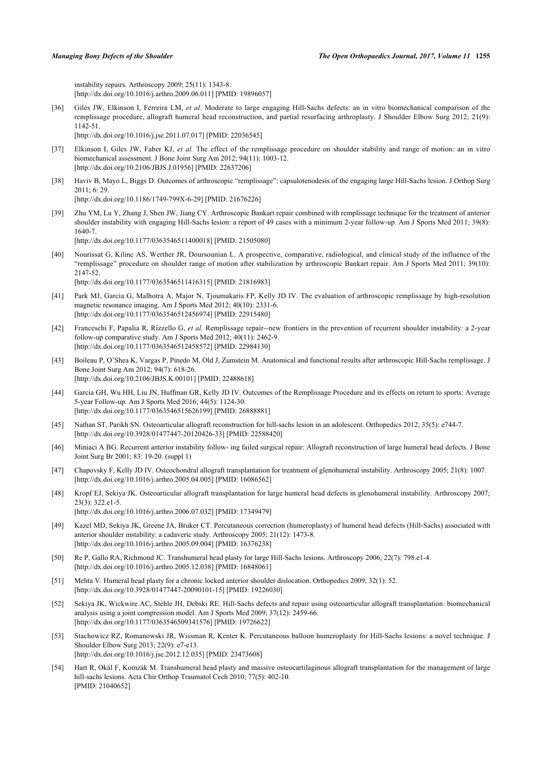instability repairs. Arthroscopy 2009; 25(11): 1343-8. [\[http://dx.doi.org/10.1016/j.arthro.2009.06.011](http://dx.doi.org/10.1016/j.arthro.2009.06.011)] [PMID: [19896057\]](http://www.ncbi.nlm.nih.gov/pubmed/19896057)

- <span id="page-10-0"></span>[36] Giles JW, Elkinson I, Ferreira LM, *et al.* Moderate to large engaging Hill-Sachs defects: an in vitro biomechanical comparison of the remplissage procedure, allograft humeral head reconstruction, and partial resurfacing arthroplasty. J Shoulder Elbow Surg 2012; 21(9): 1142-51. [\[http://dx.doi.org/10.1016/j.jse.2011.07.017\]](http://dx.doi.org/10.1016/j.jse.2011.07.017) [PMID: [22036545](http://www.ncbi.nlm.nih.gov/pubmed/22036545)]
- [37] Elkinson I, Giles JW, Faber KJ, *et al.* The effect of the remplissage procedure on shoulder stability and range of motion: an in vitro biomechanical assessment. J Bone Joint Surg Am 2012; 94(11): 1003-12. [\[http://dx.doi.org/10.2106/JBJS.J.01956\]](http://dx.doi.org/10.2106/JBJS.J.01956) [PMID: [22637206](http://www.ncbi.nlm.nih.gov/pubmed/22637206)]
- <span id="page-10-1"></span>[38] Haviv B, Mayo L, Biggs D. Outcomes of arthroscopic "remplissage": capsulotenodesis of the engaging large Hill-Sachs lesion. J Orthop Surg 2011; 6: 29.

[\[http://dx.doi.org/10.1186/1749-799X-6-29\]](http://dx.doi.org/10.1186/1749-799X-6-29) [PMID: [21676226](http://www.ncbi.nlm.nih.gov/pubmed/21676226)]

- <span id="page-10-2"></span>[39] Zhu YM, Lu Y, Zhang J, Shen JW, Jiang CY. Arthroscopic Bankart repair combined with remplissage technique for the treatment of anterior shoulder instability with engaging Hill-Sachs lesion: a report of 49 cases with a minimum 2-year follow-up. Am J Sports Med 2011; 39(8): 1640-7. [\[http://dx.doi.org/10.1177/0363546511400018\]](http://dx.doi.org/10.1177/0363546511400018) [PMID: [21505080](http://www.ncbi.nlm.nih.gov/pubmed/21505080)]
- [40] Nourissat G, Kilinc AS, Werther JR, Doursounian L. A prospective, comparative, radiological, and clinical study of the influence of the "remplissage" procedure on shoulder range of motion after stabilization by arthroscopic Bankart repair. Am J Sports Med 2011; 39(10): 2147-52. [\[http://dx.doi.org/10.1177/0363546511416315\]](http://dx.doi.org/10.1177/0363546511416315) [PMID: [21816983](http://www.ncbi.nlm.nih.gov/pubmed/21816983)]
- <span id="page-10-3"></span>[41] Park MJ, Garcia G, Malhotra A, Major N, Tjoumakaris FP, Kelly JD IV. The evaluation of arthroscopic remplissage by high-resolution magnetic resonance imaging. Am J Sports Med 2012; 40(10): 2331-6. [\[http://dx.doi.org/10.1177/0363546512456974\]](http://dx.doi.org/10.1177/0363546512456974) [PMID: [22915480](http://www.ncbi.nlm.nih.gov/pubmed/22915480)]
- <span id="page-10-4"></span>[42] Franceschi F, Papalia R, Rizzello G, *et al.* Remplissage repair--new frontiers in the prevention of recurrent shoulder instability: a 2-year follow-up comparative study. Am J Sports Med 2012; 40(11): 2462-9. [\[http://dx.doi.org/10.1177/0363546512458572\]](http://dx.doi.org/10.1177/0363546512458572) [PMID: [22984130](http://www.ncbi.nlm.nih.gov/pubmed/22984130)]
- <span id="page-10-5"></span>[43] Boileau P, O'Shea K, Vargas P, Pinedo M, Old J, Zumstein M. Anatomical and functional results after arthroscopic Hill-Sachs remplissage. J Bone Joint Surg Am 2012; 94(7): 618-26. [\[http://dx.doi.org/10.2106/JBJS.K.00101\]](http://dx.doi.org/10.2106/JBJS.K.00101) [PMID: [22488618](http://www.ncbi.nlm.nih.gov/pubmed/22488618)]
- <span id="page-10-6"></span>[44] Garcia GH, Wu HH, Liu JN, Huffman GR, Kelly JD IV. Outcomes of the Remplissage Procedure and its effects on return to sports: Average 5-year Follow-up. Am J Sports Med 2016; 44(5): 1124-30. [\[http://dx.doi.org/10.1177/0363546515626199\]](http://dx.doi.org/10.1177/0363546515626199) [PMID: [26888881](http://www.ncbi.nlm.nih.gov/pubmed/26888881)]
- <span id="page-10-7"></span>[45] Nathan ST, Parikh SN. Osteoarticular allograft reconstruction for hill-sachs lesion in an adolescent. Orthopedics 2012; 35(5): e744-7. [\[http://dx.doi.org/10.3928/01477447-20120426-33](http://dx.doi.org/10.3928/01477447-20120426-33)] [PMID: [22588420\]](http://www.ncbi.nlm.nih.gov/pubmed/22588420)
- <span id="page-10-8"></span>[46] Miniaci A BG. Recurrent anterior instability follow- ing failed surgical repair: Allograft reconstruction of large humeral head defects. J Bone Joint Surg Br 2001; 83: 19-20. (suppl 1)
- <span id="page-10-9"></span>[47] Chapovsky F, Kelly JD IV. Osteochondral allograft transplantation for treatment of glenohumeral instability. Arthroscopy 2005; 21(8): 1007. [\[http://dx.doi.org/10.1016/j.arthro.2005.04.005](http://dx.doi.org/10.1016/j.arthro.2005.04.005)] [PMID: [16086562\]](http://www.ncbi.nlm.nih.gov/pubmed/16086562)
- <span id="page-10-10"></span>[48] Kropf EJ, Sekiya JK. Osteoarticular allograft transplantation for large humeral head defects in glenohumeral instability. Arthroscopy 2007; 23(3): 322.e1-5.

[\[http://dx.doi.org/10.1016/j.arthro.2006.07.032](http://dx.doi.org/10.1016/j.arthro.2006.07.032)] [PMID: [17349479\]](http://www.ncbi.nlm.nih.gov/pubmed/17349479)

- <span id="page-10-11"></span>[49] Kazel MD, Sekiya JK, Greene JA, Bruker CT. Percutaneous correction (humeroplasty) of humeral head defects (Hill-Sachs) associated with anterior shoulder instability: a cadaveric study. Arthroscopy 2005; 21(12): 1473-8. [\[http://dx.doi.org/10.1016/j.arthro.2005.09.004](http://dx.doi.org/10.1016/j.arthro.2005.09.004)] [PMID: [16376238\]](http://www.ncbi.nlm.nih.gov/pubmed/16376238)
- <span id="page-10-12"></span>[50] Re P, Gallo RA, Richmond JC. Transhumeral head plasty for large Hill-Sachs lesions. Arthroscopy 2006; 22(7): 798.e1-4. [\[http://dx.doi.org/10.1016/j.arthro.2005.12.038](http://dx.doi.org/10.1016/j.arthro.2005.12.038)] [PMID: [16848061\]](http://www.ncbi.nlm.nih.gov/pubmed/16848061)
- <span id="page-10-13"></span>[51] Mehta V. Humeral head plasty for a chronic locked anterior shoulder dislocation. Orthopedics 2009; 32(1): 52. [\[http://dx.doi.org/10.3928/01477447-20090101-15](http://dx.doi.org/10.3928/01477447-20090101-15)] [PMID: [19226030\]](http://www.ncbi.nlm.nih.gov/pubmed/19226030)
- <span id="page-10-14"></span>[52] Sekiya JK, Wickwire AC, Stehle JH, Debski RE. Hill-Sachs defects and repair using osteoarticular allograft transplantation: biomechanical analysis using a joint compression model. Am J Sports Med 2009; 37(12): 2459-66. [\[http://dx.doi.org/10.1177/0363546509341576\]](http://dx.doi.org/10.1177/0363546509341576) [PMID: [19726622](http://www.ncbi.nlm.nih.gov/pubmed/19726622)]
- <span id="page-10-15"></span>[53] Stachowicz RZ, Romanowski JR, Wissman R, Kenter K. Percutaneous balloon humeroplasty for Hill-Sachs lesions: a novel technique. J Shoulder Elbow Surg 2013; 22(9): e7-e13. [\[http://dx.doi.org/10.1016/j.jse.2012.12.035\]](http://dx.doi.org/10.1016/j.jse.2012.12.035) [PMID: [23473608](http://www.ncbi.nlm.nih.gov/pubmed/23473608)]
- <span id="page-10-16"></span>[54] Hart R, Okál F, Komzák M. Transhumeral head plasty and massive osteocartilaginous allograft transplantation for the management of large hill-sachs lesions. Acta Chir Orthop Traumatol Cech 2010; 77(5): 402-10. [PMID: [21040652\]](http://www.ncbi.nlm.nih.gov/pubmed/21040652)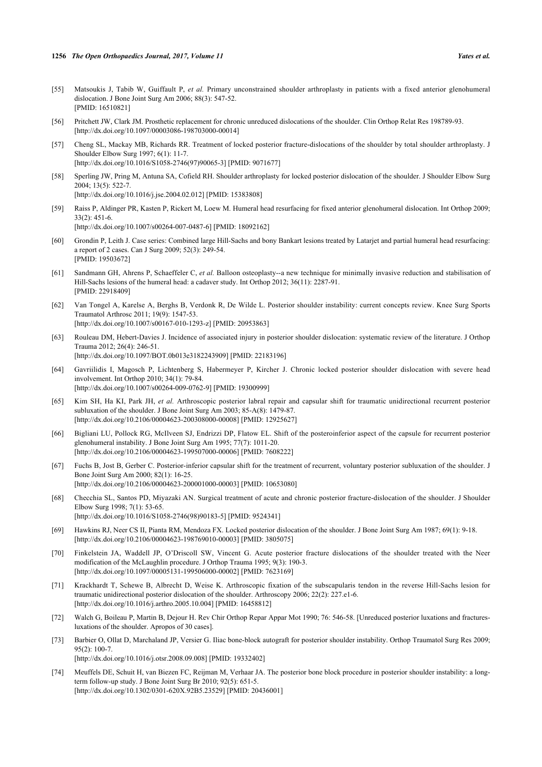- <span id="page-11-0"></span>[55] Matsoukis J, Tabib W, Guiffault P, *et al.* Primary unconstrained shoulder arthroplasty in patients with a fixed anterior glenohumeral dislocation. J Bone Joint Surg Am 2006; 88(3): 547-52. [PMID: [16510821\]](http://www.ncbi.nlm.nih.gov/pubmed/16510821)
- [56] Pritchett JW, Clark JM. Prosthetic replacement for chronic unreduced dislocations of the shoulder. Clin Orthop Relat Res 198789-93. [\[http://dx.doi.org/10.1097/00003086-198703000-00014](http://dx.doi.org/10.1097/00003086-198703000-00014)]
- [57] Cheng SL, Mackay MB, Richards RR. Treatment of locked posterior fracture-dislocations of the shoulder by total shoulder arthroplasty. J Shoulder Elbow Surg 1997; 6(1): 11-7. [\[http://dx.doi.org/10.1016/S1058-2746\(97\)90065-3\]](http://dx.doi.org/10.1016/S1058-2746(97)90065-3) [PMID: [9071677](http://www.ncbi.nlm.nih.gov/pubmed/9071677)]
- <span id="page-11-1"></span>[58] Sperling JW, Pring M, Antuna SA, Cofield RH. Shoulder arthroplasty for locked posterior dislocation of the shoulder. J Shoulder Elbow Surg 2004; 13(5): 522-7.
	- [\[http://dx.doi.org/10.1016/j.jse.2004.02.012\]](http://dx.doi.org/10.1016/j.jse.2004.02.012) [PMID: [15383808](http://www.ncbi.nlm.nih.gov/pubmed/15383808)]
- <span id="page-11-2"></span>[59] Raiss P, Aldinger PR, Kasten P, Rickert M, Loew M. Humeral head resurfacing for fixed anterior glenohumeral dislocation. Int Orthop 2009;  $33(2) \cdot 451 - 6$

[\[http://dx.doi.org/10.1007/s00264-007-0487-6\]](http://dx.doi.org/10.1007/s00264-007-0487-6) [PMID: [18092162](http://www.ncbi.nlm.nih.gov/pubmed/18092162)]

- <span id="page-11-3"></span>[60] Grondin P, Leith J. Case series: Combined large Hill-Sachs and bony Bankart lesions treated by Latarjet and partial humeral head resurfacing: a report of 2 cases. Can J Surg 2009; 52(3): 249-54. [PMID: [19503672\]](http://www.ncbi.nlm.nih.gov/pubmed/19503672)
- <span id="page-11-4"></span>[61] Sandmann GH, Ahrens P, Schaeffeler C, *et al.* Balloon osteoplasty--a new technique for minimally invasive reduction and stabilisation of Hill-Sachs lesions of the humeral head: a cadaver study. Int Orthop 2012; 36(11): 2287-91. [PMID: [22918409\]](http://www.ncbi.nlm.nih.gov/pubmed/22918409)
- <span id="page-11-5"></span>[62] Van Tongel A, Karelse A, Berghs B, Verdonk R, De Wilde L. Posterior shoulder instability: current concepts review. Knee Surg Sports Traumatol Arthrosc 2011; 19(9): 1547-53. [\[http://dx.doi.org/10.1007/s00167-010-1293-z](http://dx.doi.org/10.1007/s00167-010-1293-z)] [PMID: [20953863](http://www.ncbi.nlm.nih.gov/pubmed/20953863)]
- <span id="page-11-6"></span>[63] Rouleau DM, Hebert-Davies J. Incidence of associated injury in posterior shoulder dislocation: systematic review of the literature. J Orthop Trauma 2012; 26(4): 246-51. [\[http://dx.doi.org/10.1097/BOT.0b013e3182243909](http://dx.doi.org/10.1097/BOT.0b013e3182243909)] [PMID: [22183196\]](http://www.ncbi.nlm.nih.gov/pubmed/22183196)
- <span id="page-11-7"></span>[64] Gavriilidis I, Magosch P, Lichtenberg S, Habermeyer P, Kircher J. Chronic locked posterior shoulder dislocation with severe head involvement. Int Orthop 2010; 34(1): 79-84. [\[http://dx.doi.org/10.1007/s00264-009-0762-9\]](http://dx.doi.org/10.1007/s00264-009-0762-9) [PMID: [19300999](http://www.ncbi.nlm.nih.gov/pubmed/19300999)]
- <span id="page-11-8"></span>[65] Kim SH, Ha KI, Park JH, *et al.* Arthroscopic posterior labral repair and capsular shift for traumatic unidirectional recurrent posterior subluxation of the shoulder. J Bone Joint Surg Am 2003; 85-A(8): 1479-87. [\[http://dx.doi.org/10.2106/00004623-200308000-00008](http://dx.doi.org/10.2106/00004623-200308000-00008)] [PMID: [12925627\]](http://www.ncbi.nlm.nih.gov/pubmed/12925627)
- <span id="page-11-9"></span>[66] Bigliani LU, Pollock RG, McIlveen SJ, Endrizzi DP, Flatow EL. Shift of the posteroinferior aspect of the capsule for recurrent posterior glenohumeral instability. J Bone Joint Surg Am 1995; 77(7): 1011-20. [\[http://dx.doi.org/10.2106/00004623-199507000-00006](http://dx.doi.org/10.2106/00004623-199507000-00006)] [PMID: [7608222\]](http://www.ncbi.nlm.nih.gov/pubmed/7608222)
- <span id="page-11-10"></span>[67] Fuchs B, Jost B, Gerber C. Posterior-inferior capsular shift for the treatment of recurrent, voluntary posterior subluxation of the shoulder. J Bone Joint Surg Am 2000; 82(1): 16-25. [\[http://dx.doi.org/10.2106/00004623-200001000-00003](http://dx.doi.org/10.2106/00004623-200001000-00003)] [PMID: [10653080\]](http://www.ncbi.nlm.nih.gov/pubmed/10653080)
- <span id="page-11-11"></span>[68] Checchia SL, Santos PD, Miyazaki AN. Surgical treatment of acute and chronic posterior fracture-dislocation of the shoulder. J Shoulder Elbow Surg 1998; 7(1): 53-65. [\[http://dx.doi.org/10.1016/S1058-2746\(98\)90183-5\]](http://dx.doi.org/10.1016/S1058-2746(98)90183-5) [PMID: [9524341](http://www.ncbi.nlm.nih.gov/pubmed/9524341)]
- <span id="page-11-12"></span>[69] Hawkins RJ, Neer CS II, Pianta RM, Mendoza FX. Locked posterior dislocation of the shoulder. J Bone Joint Surg Am 1987; 69(1): 9-18. [\[http://dx.doi.org/10.2106/00004623-198769010-00003](http://dx.doi.org/10.2106/00004623-198769010-00003)] [PMID: [3805075\]](http://www.ncbi.nlm.nih.gov/pubmed/3805075)
- <span id="page-11-13"></span>[70] Finkelstein JA, Waddell JP, O'Driscoll SW, Vincent G. Acute posterior fracture dislocations of the shoulder treated with the Neer modification of the McLaughlin procedure. J Orthop Trauma 1995; 9(3): 190-3. [\[http://dx.doi.org/10.1097/00005131-199506000-00002](http://dx.doi.org/10.1097/00005131-199506000-00002)] [PMID: [7623169\]](http://www.ncbi.nlm.nih.gov/pubmed/7623169)
- <span id="page-11-14"></span>[71] Krackhardt T, Schewe B, Albrecht D, Weise K. Arthroscopic fixation of the subscapularis tendon in the reverse Hill-Sachs lesion for traumatic unidirectional posterior dislocation of the shoulder. Arthroscopy 2006; 22(2): 227.e1-6. [\[http://dx.doi.org/10.1016/j.arthro.2005.10.004](http://dx.doi.org/10.1016/j.arthro.2005.10.004)] [PMID: [16458812\]](http://www.ncbi.nlm.nih.gov/pubmed/16458812)
- <span id="page-11-15"></span>[72] Walch G, Boileau P, Martin B, Dejour H. Rev Chir Orthop Repar Appar Mot 1990; 76: 546-58. [Unreduced posterior luxations and fracturesluxations of the shoulder. Apropos of 30 cases].
- <span id="page-11-16"></span>[73] Barbier O, Ollat D, Marchaland JP, Versier G. Iliac bone-block autograft for posterior shoulder instability. Orthop Traumatol Surg Res 2009; 95(2): 100-7. [\[http://dx.doi.org/10.1016/j.otsr.2008.09.008](http://dx.doi.org/10.1016/j.otsr.2008.09.008)] [PMID: [19332402\]](http://www.ncbi.nlm.nih.gov/pubmed/19332402)
- <span id="page-11-17"></span>[74] Meuffels DE, Schuit H, van Biezen FC, Reijman M, Verhaar JA. The posterior bone block procedure in posterior shoulder instability: a longterm follow-up study. J Bone Joint Surg Br 2010; 92(5): 651-5. [\[http://dx.doi.org/10.1302/0301-620X.92B5.23529\]](http://dx.doi.org/10.1302/0301-620X.92B5.23529) [PMID: [20436001](http://www.ncbi.nlm.nih.gov/pubmed/20436001)]